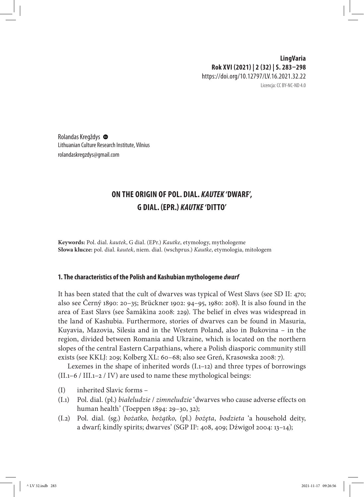# **LingVaria Rok XVI (2021) | 2 (32) | s. 283–298** https://doi.org/10.12797/LV.16.2021.32.22

Licencja: CC BY-NC-ND 4.0

Rolandas Kregždys Lithuanian Culture Research Institute, Vilnius rolandaskregzdys@gmail.com

# **On the origin of Pol. dial.** *kautek* **'dwarf', G dial. (EPr.)** *Kautke* **'ditto'**

**Keywords:** Pol. dial.*kautek*, G dial. (EPr.) *Kautke*, etymology, mythologeme **Słowa klucze:** pol. dial.*kautek*, niem. dial. (wschprus.) *Kautke*, etymologia, mitologem

## **1.The characteristics of the Polish and Kashubian mythologeme** *dwarf*

It has been stated that the cult of dwarves was typical of West Slavs (see SD II: 470; also see Černý 1890: 20–35; Brückner 1902: 94–95, 1980: 208). It is also found in the area of East Slavs (see Šamâkìna 2008: 229). The belief in elves was widespread in the land of Kashubia. Furthermore, stories of dwarves can be found in Masuria, Kuyavia, Mazovia, Silesia and in the Western Poland, also in Bukovina – in the region, divided between Romania and Ukraine, which is located on the northern slopes of the central Eastern Carpathians, where a Polish diasporic community still exists (see KKLJ: 209; Kolberg XL: 60–68; also see Greń, Krasowska 2008: 7).

Lexemes in the shape of inherited words (I.1–12) and three types of borrowings  $(II.1–6 / III.1–2 / IV)$  are used to name these mythological beings:

- (I) inherited Slavic forms –
- (I.1) Pol. dial. (pl.) *białeludzie* / *zimneludzie* 'dwarves who cause adverse effects on human health' (Toeppen 1894: 29–30, 32);
- (I.2) Pol.dial.(sg.) *bożatko*, *bożątko*, (pl.) *bożęta*, *bodzieta* 'a household deity, a dwarf; kindly spirits; dwarves' (SGP II3: 408, 409; Dźwigoł 2004: 13–14);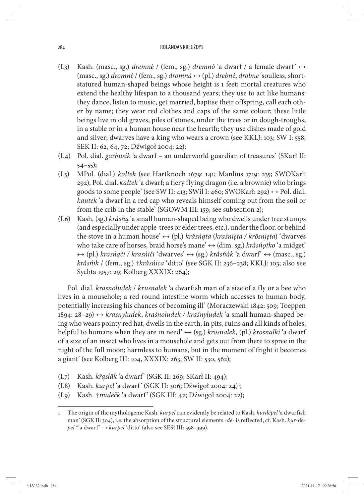- (I.3) Kash. (masc., sg.) *dremnè* / (fem., sg.) *dremnô* 'a dwarf / a female dwarf' ↔ (masc., sg.) *dromnė* / (fem., sg.) *dromnå* ↔ (pl.) *drebnê*, *drobne* 'soulless, shortstatured human-shaped beings whose height is 1 feet; mortal creatures who extend the healthy lifespan to a thousand years; they use to act like humans: they dance, listen to music, get married, baptise their offspring, call each other by name; they wear red clothes and caps of the same colour; these little beings live in old graves, piles of stones, under the trees or in dough-troughs, in a stable or in a human house near the hearth; they use dishes made of gold and silver; dwarves have a king who wears a crown (see KKLJ: 103; SW I: 558; SEK II: 62, 64, 72; Dźwigoł 2004: 22);
- (I.4) Pol. dial.*garbusik* 'a dwarf an underworld guardian of treasures' (SKarł II: 54–55);
- (I.5) MPol. (dial.) *kołtek* (see Hartknoch 1679: 141; Manlius 1719: 235; SWOKarł: 292), Pol. dial.*kałtek* 'a dwarf; a fiery flying dragon (i.e. a brownie) who brings goods to some people' (see SW II: 413; SWil I: 460; SWOKarł: 292)  $\leftrightarrow$  Pol. dial. *kautek* 'a dwarf in a red cap who reveals himself coming out from the soil or from the crib in the stable' (SGOWM III: 159; see subsection 2);
- (I.6) Kash. (sg.) *kråsńą* 'a small human-shaped being who dwells under tree stumps (and especially under apple-trees or elder trees, etc.), under the floor, or behind the stove in a human house' ↔ (pl.) *kråsńąta* (*kraśnięta / krôsnjęta*) 'dwarves who take care of horses, braid horse's mane' ↔ (dim. sg.) *kråsńǫtko* 'a midget' ↔ (pl.) *krasńąči / krasńiči* 'dwarves' ↔ (sg.) *kråsńåk* 'a dwarf' ↔ (masc., sg.) *kråsńik* / (fem., sg.) †*kråsńica* 'ditto' (see SGK II: 236–238; KKLJ: 103; also see Sychta 1957: 29; Kolberg XXXIX: 264);

Pol. dial.*krasnoludek* / *krusnalek* 'a dwarfish man of a size of a fly or a bee who lives in a mousehole; a red round intestine worm which accesses to human body, potentially increasing his chances of becoming ill' (Moraczewski 1842: 509; Toeppen 1894: 28–29) ↔ *krasnyludek*, *kraśnoludek / kraśnyludek* 'a small human-shaped being who wears pointy red hat, dwells in the earth, in pits, ruins and all kinds of holes; helpful to humans when they are in need' ↔ (sg.) *krosnalek*, (pl.) *krosnalki* 'a dwarf of a size of an insect who lives in a mousehole and gets out from there to spree in the night of the full moon; harmless to humans, but in the moment of fright it becomes a giant' (see Kolberg III: 104, XXXIX: 263; SW II: 530, 562);

- (I.7) Kash.*křąslåk* 'a dwarf' (SGK II: 269; SKarł II: 494);
- (I.8) Kash.*kurpel* 'a dwarf' (SGK II: 306; Dźwigoł 2004: 24)1 ;
- (I.9) Kash. †*malëčk* 'a dwarf' (SGK III: 42; Dźwigoł 2004: 22);

<sup>1</sup> The origin of the mythologeme Kash.*kurpel* can evidently be related to Kash.*kurdëpel* 'a dwarfish man' (SGK II: 304), i.e. the absorption of the structural elements -*dë*- is reflected, cf. Kash.*kur-*dë*pel* \*'a dwarf' → *kurpel* 'ditto' (also see SESł III: 398–399).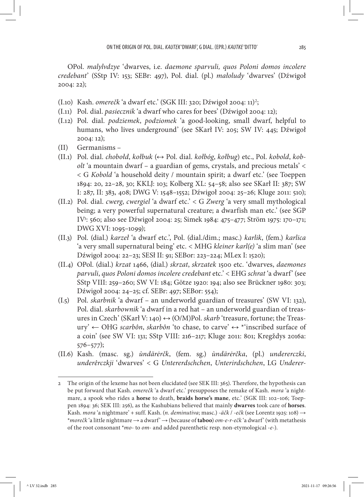OPol.*malylvdzye* 'dwarves, i.e.*daemone sparvuli, quos Poloni domos incolere credebant*' (SStp IV: 153; SEBr: 497), Pol. dial. (pl.) *małoludy* 'dwarves' (Dźwigoł 2004: 22);

- (I.10) Kash. *omerečk* 'a dwarf etc.' (SGK III: 320; Dźwigoł 2004: 11)<sup>2</sup>;
- (I.11) Pol. dial.*pasiecznik* 'a dwarf who cares for bees' (Dźwigoł 2004: 12);
- (I.12) Pol. dial.*podziemek*, *podziomek* 'a good-looking, small dwarf, helpful to humans, who lives underground' (see SKarł IV: 205; SW IV: 445; Dźwigoł 2004: 12);
- (II) Germanisms –
- (II.1) Pol. dial.*chobołd*, *kołbuk* (↔ Pol. dial.*kołbóg*, *kołbug*) etc., Pol.*kobold*, *kobolt* 'a mountain dwarf – a guardian of gems, crystals, and precious metals' < < G *Kobold* 'a household deity / mountain spirit; a dwarf etc.' (see Toeppen 1894: 20, 22–28, 30; KKLJ: 103; Kolberg XL: 54–58; also see SKarł II: 387; SW I: 287, II: 383, 408; DWG V: 1548–1552; Dźwigoł 2004: 25–26; Kluge 2011: 510);
- (II.2) Pol. dial.*cwerg*, *cwergiel* 'a dwarf etc.' < G *Zwerg* 'a very small mythological being; a very powerful supernatural creature; a dwarfish man etc.' (see SGP IV3 : 560; also see Dźwigoł 2004: 25; Simek 1984: 475–477; Ström 1975: 170–171; DWG XVI: 1095–1099);
- (II.3) Pol. (dial.) *karzeł* 'a dwarf etc.', Pol. (dial./dim.; masc.) *karlik*, (fem.) *karlica*  'a very small supernatural being' etc. < MHG *kleiner karl(e)* 'a slim man' (see Dźwigoł 2004: 22–23; SESł II: 91; SEBor: 223–224; MLex I: 1520);
- (II.4) OPol. (dial.) *krzat* 1466, (dial.) *skrzat*, *skrzatek* 1500 etc. 'dwarves, *daemones parvuli*, *quos Poloni domos incolere credebant* etc.' < EHG *schrat* 'a dwarf' (see SStp VIII: 259–260; SW VI: 184; Götze 1920: 194; also see Brückner 1980: 303; Dźwigoł 2004: 24–25; cf. SEBr: 497; SEBor: 554);
- (I.5) Pol.*skarbnik* 'a dwarf an underworld guardian of treasures' (SW VI: 132), Pol. dial.*skarbownik* 'a dwarf in a red hat – an underworld guardian of treasures in Czech' (SKarł V: 140) ↔ (O/M)Pol.*skarb* 'treasure, fortune; the Treasury' ← OHG *scarbôn*, *skarbôn* 'to chase, to carve' ↔ \*'inscribed surface of a coin' (see SW VI: 131; SStp VIII: 216–217; Kluge 2011: 801; Kregždys 2016a: 576–577);
- (II.6) Kash. (masc. sg.) *ùndärėrčk*, (fem. sg.) *ùndärėrčka*, (pl.) *undererczki*, *underêrczkji* 'dwarves' < G *Untererdschchen*, *Unterirdschchen*, LG *Underer-*

<sup>2</sup> The origin of the lexeme has not been elucidated (see SEK III: 365). Therefore, the hypothesis can be put forward that Kash.*omerečk* 'a dwarf etc.' presupposes the remake of Kash.*mora* 'a nightmare, a spook who rides a **horse** to death, **braids horse's mane**, etc.' (SGK III: 102–106; Toeppen 1894: 36; SEK III: 256), as the Kashubians believed that mainly **dwarves** took care of **horses**. Kash.*mora* 'a nightmare' + suff. Kash. (*n. deminutiva*; masc.) -*äčk* / -*ečk* (see Lorentz 1925: 108) → \**morečk* 'a little nightmare → a dwarf' → (because of **taboo**) *om-e-r-ečk* 'a dwarf' (with metathesis of the root consonant \**mo*- to *om*- and added parenthetic resp. non-etymological -*e*-).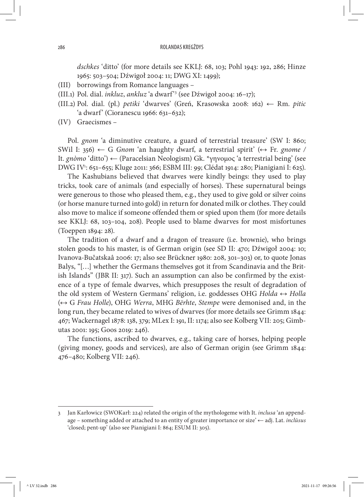*dschkes* 'ditto' (for more details see KKLJ: 68, 103; Pohl 1943: 192, 286; Hinze 1965: 503–504; Dźwigoł 2004: 11; DWG XI: 1499);

- (III) borrowings from Romance languages –
- (III.1) Pol. dial.*inkluz*, *ankluz* 'a dwarf'3 (see Dźwigoł 2004: 16–17);
- (III.2) Pol. dial. (pl.) *petiki* 'dwarves' (Greń, Krasowska 2008: 162) ← Rm.*pitic* 'a dwarf' (Cioranescu 1966: 631–632);
- (IV) Graecismes –

Pol.*gnom* 'a diminutive creature, a guard of terrestrial treasure' (SW I: 860; SWil I: 356)  $\leftarrow$  G *Gnom* 'an haughty dwarf, a terrestrial spirit' ( $\leftrightarrow$  Fr. gnome / It.*gnòmo* 'ditto') ← (Paracelsian Neologism) Gk. \*γηνομος 'a terrestrial being' (see DWG IV1 : 651–655; Kluge 2011: 366; ESBM III: 99; Clédat 1914: 280; Pianigiani I: 625).

The Kashubians believed that dwarves were kindly beings: they used to play tricks, took care of animals (and especially of horses). These supernatural beings were generous to those who pleased them, e.g., they used to give gold or silver coins (or horse manure turned into gold) in return for donated milk or clothes. They could also move to malice if someone offended them or spied upon them (for more details see KKLJ: 68, 103–104, 208). People used to blame dwarves for most misfortunes (Toeppen 1894: 28).

The tradition of a dwarf and a dragon of treasure (i.e. brownie), who brings stolen goods to his master, is of German origin (see SD II: 470; Dźwigoł 2004: 10; Ivanova-Bučatskaâ 2006: 17; also see Brückner 1980: 208, 301–303) or, to quote Jonas Balys, "[…] whether the Germans themselves got it from Scandinavia and the British Islands" (JBR II: 317). Such an assumption can also be confirmed by the existence of a type of female dwarves, which presupposes the result of degradation of the old system of Western Germans' religion, i.e. goddesses OHG *Holda* ↔ *Holla* (↔ G *Frau Holle*), OHG *Werra*, MHG *Bërhte*, *Stempe* were demonised and, in the long run, they became related to wives of dwarves (for more details see Grimm 1844: 467; Wackernagel 1878: 138, 379; MLex I: 191, II: 1174; also see Kolberg VII: 205; Gimbutas 2001: 195; Goos 2019: 246).

The functions, ascribed to dwarves, e.g., taking care of horses, helping people (giving money, goods and services), are also of German origin (see Grimm 1844: 476–480; Kolberg VII: 246).

<sup>3</sup> Jan Karłowicz (SWOKarł: 224) related the origin of the mythologeme with It.*inclusa* 'an appendage – something added or attached to an entity of greater importance or size' ← adj. Lat.*inclūsus* 'closed; pent-up' (also see Pianigiani I: 864; ESUM II: 305).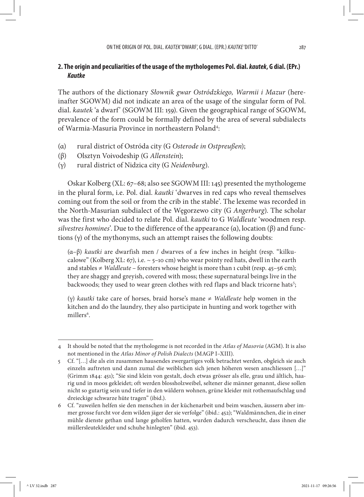# **2. The origin and peculiarities of the usage of the mythologemes Pol. dial.** *kautek***, G dial. (EPr.)**  *Kautke*

The authors of the dictionary *Słownik gwar Ostródzkiego, Warmii i Mazur* (hereinafter SGOWM) did not indicate an area of the usage of the singular form of Pol. dial.*kautek* 'a dwarf' (SGOWM III: 159). Given the geographical range of SGOWM, prevalence of the form could be formally defined by the area of several subdialects of Warmia-Masuria Province in northeastern Poland<sup>4</sup>:

- (α) rural district of Ostróda city (G *Osterode in Ostpreußen*);
- (β) Olsztyn Voivodeship (G *Allenstein*);
- (γ) rural district of Nidzica city (G *Neidenburg*).

Oskar Kolberg (XL: 67–68; also see SGOWM III: 145) presented the mythologeme in the plural form, i.e. Pol. dial.*kautki* 'dwarves in red caps who reveal themselves coming out from the soil or from the crib in the stable'. The lexeme was recorded in the North-Masurian subdialect of the Węgorzewo city (G *Angerburg*). The scholar was the first who decided to relate Pol. dial.*kautki* to G *Waldleute* 'woodmen resp. *silvestres homines*'. Due to the difference of the appearance (α), location (β) and functions  $(y)$  of the mythonyms, such an attempt raises the following doubts:

(α–β) *kautki* are dwarfish men / dwarves of a few inches in height (resp. "kilkucalowe" (Kolberg XL: 67), i.e.  $\sim$  5–10 cm) who wear pointy red hats, dwell in the earth and stables  $\neq$  *Waldleute* – foresters whose height is more than 1 cubit (resp. 45–56 cm); they are shaggy and greyish, covered with moss; these supernatural beings live in the backwoods; they used to wear green clothes with red flaps and black tricorne hats<sup>5</sup>;

(γ) *kautki* take care of horses, braid horse's mane ≠ *Waldleute* help women in the kitchen and do the laundry, they also participate in hunting and work together with millers<sup>6</sup>.

<sup>4</sup> It should be noted that the mythologeme is not recorded in the *Atlas of Masovia* (AGM). It is also not mentioned in the *Atlas Minor of Polish Dialects* (MAGP I–XIII).

<sup>5</sup> Cf. "[…] die als ein zusammen hausendes zwergartiges volk betrachtet werden, obgleich sie auch einzeln auftreten und dann zumal die weiblichen sich jenen höheren wesen anschliessen […]" (Grimm 1844: 451); "Sie sind klein von gestalt, doch etwas grösser als elle, grau und ältlich, haarig und in moos gekleidet; oft werden blossholzweibel, seltener die männer genannt, diese sollen nicht so gutartig sein und tiefer in den wäldern wohnen, grüne kleider mit rothemaufschlag und dreieckige schwarze hüte tragen" (ibid.).

<sup>6</sup> Cf. "zuweilen helfen sie den menschen in der küchenarbeit und beim waschen, äussern aber immer grosse furcht vor dem wilden jäger der sie verfolge" (ibid.: 452); "Waldmännchen, die in einer mühle dienste gethan und lange geholfen hatten, wurden dadurch verscheucht, dass ihnen die müllersleutekleider und schuhe hinlegten" (ibid. 453).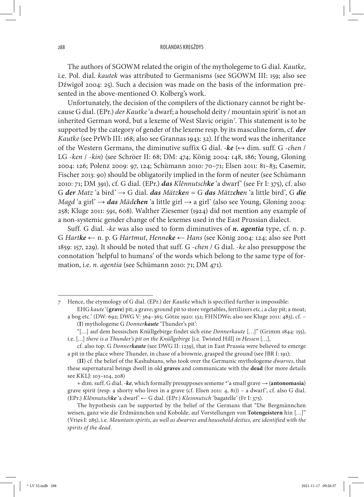The authors of SGOWM related the origin of the mytholegeme to G dial.*Kautke*, i.e. Pol. dial.*kautek* was attributed to Germanisms (see SGOWM III: 159; also see Dźwigoł 2004: 25). Such a decision was made on the basis of the information presented in the above-mentioned O. Kolberg's work.

Unfortunately, the decision of the compilers of the dictionary cannot be right because G dial. (EPr.) *der Kautke* 'a dwarf; a household deity / mountain spirit' is not an inherited German word, but a lexeme of West Slavic origin<sup>7</sup>. This statement is to be supported by the category of gender of the lexeme resp. by its masculine form, cf.*der Kautke* (see PrWb III: 168; also see Grannas 1943: 32). If the word was the inheritance of the Western Germans, the diminutive suffix G dial. - $ke \leftrightarrow dim$ . suff. G -*chen* / LG -*ken* / -*kin*) (see Schröer II: 68; DM: 474; König 2004: 148, 186; Young, Gloning 2004: 126; Polenz 2009: 97, 124; Schümann 2010: 70–71; Elsen 2011: 81–83; Casemir, Fischer 2013: 90) should be obligatorily implied in the form of neuter (see Schümann 2010: 71; DM 391), cf. G dial. (EPr.) *das Klênnutschke* 'a dwarf' (see Fr I: 375), cf. also G *der Matz* 'a bird' → G dial.*das Mätzken* = G *das Mätzchen* 'a little bird', G *die Magd* 'a girl' → *das Mädchen* 'a little girl → a girl' (also see Young, Gloning 2004: 258; Kluge 2011: 591, 608). Walther Ziesemer (1924) did not mention any example of a non-systemic gender change of the lexemes used in the East Prussian dialect.

Suff. G dial. -*ke* was also used to form diminutives of *n. agentia* type, cf. n. p. G *Hartke* ← n. p. G *Hartmut*, *Henneke* ← *Hans* (see König 2004: 124; also see Pott 1859: 157, 229). It should be noted that suff. G -*chen* / G dial. -*ke* also presuppose the connotation 'helpful to humans' of the words which belong to the same type of formation, i.e.*n. agentia* (see Schümann 2010: 71; DM 471).

<sup>7</sup> Hence, the etymology of G dial. (EPr.) der *Kautke* which is specified further is impossible: EHG *kaute* '(**grave**) pit; a grave; ground pit to store vegetables, fertilizers etc.; a clay pit; a moat;

a bog etc.' (DW: 692; DWG V: 364–365; Götze 1920: 132; FHNDWe; also see Kluge 2011: 483), cf. – (**I**) mythologeme G *Donnerkaute* 'Thunder's pit':

<sup>&</sup>quot;[…] auf dem hessischen Knüllgebirge findet sich eine *Donnerkaute* […]" (Grimm 1844: 155), i.e. [*…*] *there is a Thunder's pit on the Knüllgebirge* [i.e. Twisted Hill] *in Hessen* [*…*],

cf. also top. G *Donnerkaute* (see DWG II: 1239), that in East Prussia were believed to emerge a pit in the place where Thunder, in chase of a brownie, grasped the ground (see JBR I: 191);

<sup>(</sup>**II**) cf. the belief of the Kashubians, who took over the Germanic mythologeme *dwarves*, that these supernatural beings dwell in old **graves** and communicate with the **dead** (for more details see KKLJ: 103–104, 208)

<sup>+</sup> dim. suff. G dial. -*ke*, which formally presupposes sememe \*'a small grave → (**antonomasia**) grave spirit (resp. a shorty who lives in a grave (cf. Elsen 2011: 4, 81)) – a dwarf', cf. also G dial. (EPr.) *Klênnutschke* 'a dwarf' ← G dial. (EPr.) *Kleinnutsch* 'bagatelle' (Fr I: 375).

The hypothesis can be supported by the belief of the Germans that "Die Bergmännchen weisen, ganz wie die Erdmännchen und Kobolde, auf Vorstellungen von **Totengeistern** hin […]" (Vries I: 285), i.e.*Mountain spirits, as well as dwarves and household deities, are identified with the spirits of the dead*.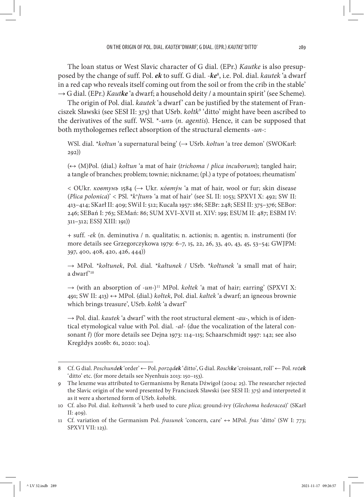The loan status or West Slavic character of G dial. (EPr.) *Kautke* is also presupposed by the change of suff. Pol.*ek* to suff. G dial. -*ke*<sup>8</sup> , i.e. Pol. dial.*kautek* 'a dwarf in a red cap who reveals itself coming out from the soil or from the crib in the stable' → G dial. (EPr.) *Kautke* 'a dwarf; a household deity / a mountain spirit' (see Scheme).

The origin of Pol. dial.*kautek* 'a dwarf' can be justified by the statement of Franciszek Sławski (see SESł II: 375) that USrb.*kołtk*<sup>9</sup> 'ditto' might have been ascribed to the derivatives of the suff. WSl. \*-*unъ* (*n. agentis*). Hence, it can be supposed that both mythologemes reflect absorption of the structural elements -*un*-:

WSl. dial. \**kołtun* 'a supernatural being' (→ USrb.*kołtun* 'a tree demon' (SWOKarł: 292))

(↔ (M)Pol. (dial.) *kołtun* 'a mat of hair (*trichoma* / *plica incuborum*); tangled hair; a tangle of branches; problem; townie; nickname; (pl.) a type of potatoes; rheumatism'

< OUkr.*ковтунъ* 1584 (→ Ukr.*кóвтýн* 'a mat of hair, wool or fur; skin disease (*Plica polonica*)' < PSl. \**kъ ḷtunъ* 'a mat of hair' (see SL II: 1053; SPXVI X: 492; SW II: 413–414; SKarł II: 409; SWil I: 512; Kucała 1957: 186; SEBr: 248; SESł II: 375–376; SEBor: 246; SEBań I: 763; SEMań: 86; SUM XVI–XVII st. XIV: 199; ESUM II: 487; ESBM IV: 311–312; ESSJ XIII: 191))

+ suff. -*ek* (n. deminutiva / n. qualitatis; n. actionis; n. agentis; n. instrumenti (for more details see Grzegorczykowa 1979: 6–7, 15, 22, 26, 33, 40, 43, 45, 53–54; GWJPM: 397, 400, 408, 420, 426, 444))

→ MPol. \**kołtunek*, Pol. dial. \**kałtunek* / USrb. \**kołtunek* 'a small mat of hair; a dwarf'10

 $\rightarrow$  (with an absorption of *-un*-)<sup>11</sup> MPol. *kołtek* 'a mat of hair; earring' (SPXVI X: 491; SW II: 413) ↔ MPol. (dial.) *kołtek*, Pol. dial.*kałtek* 'a dwarf; an igneous brownie which brings treasure', USrb.*kołtk* 'a dwarf'

→ Pol. dial.*kautek* 'a dwarf' with the root structural element -*au*-, which is of identical etymological value with Pol. dial. -*ał*- (due the vocalization of the lateral consonant *ł*) (for more details see Dejna 1973: 114–115; Schaarschmidt 1997: 142; see also Kregždys 2016b: 61, 2020: 104).

<sup>8</sup> Cf. G dial.*Poschundek* 'order' ← Pol.*porządek* 'ditto', G dial.*Roschke* 'croissant, roll' ← Pol.*rożek* 'ditto' etc. (for more details see Nyenhuis 2013: 150–153).

<sup>9</sup> The lexeme was attributed to Germanisms by Renata Dźwigoł (2004: 25). The researcher rejected the Slavic origin of the word presented by Franciszek Sławski (see SESł II: 375) and interpreted it as it were a shortened form of USrb.*kobołtk*.

<sup>10</sup> Cf. also Pol. dial.*kołtunnik* 'a herb used to cure *plica*; ground-ivy (*Glechoma hederacea*)' (SKarł II: 409).

<sup>11</sup> Cf. variation of the Germanism Pol.*frasunek* 'concern, care' ↔ MPol.*fras* 'ditto' (SW I: 773; SPXVI VII: 123).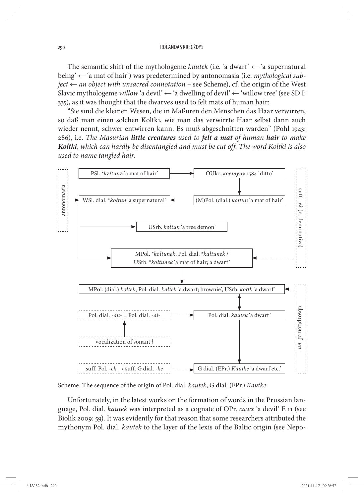The semantic shift of the mythologeme *kautek* (i.e. 'a dwarf'  $\leftarrow$  'a supernatural being' ← 'a mat of hair') was predetermined by antonomasia (i.e.*mythological subject* ← *an object with unsacred connotation* – see Scheme), cf. the origin of the West Slavic mythologeme *willow* 'a devil' ← 'a dwelling of devil' ← 'willow tree' (see SD I: 335), as it was thought that the dwarves used to felt mats of human hair:

"Sie sind die kleinen Wesen, die in Maßuren den Menschen das Haar verwirren, so daß man einen solchen Koltki, wie man das verwirrte Haar selbst dann auch wieder nennt, schwer entwirren kann. Es muß abgeschnitten warden" (Pohl 1943: 286), i.e.*The Masurian little creatures used to felt a mat of human hair to make Koltki, which can hardly be disentangled and must be cut off. The word Koltki is also used to name tangled hair*.



Scheme. The sequence of the origin of Pol. dial.*kautek*, G dial. (EPr.) *Kautke*

Unfortunately, in the latest works on the formation of words in the Prussian language, Pol. dial.*kautek* was interpreted as a cognate of OPr.*cawx* 'a devil' E 11 (see Biolik 2009: 59). It was evidently for that reason that some researchers attributed the mythonym Pol. dial.*kautek* to the layer of the lexis of the Baltic origin (see Nepo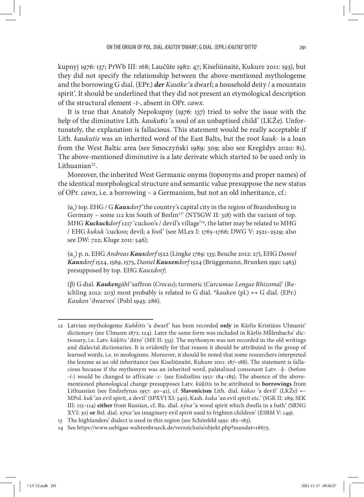kupnyj 1976: 137; PrWb III: 168; Laučûte 1982: 47; Kiseliūnaitė, Kukure 2011: 193), but they did not specify the relationship between the above-mentioned mythologeme and the borrowing G dial. (EPr.) *der Kautke* 'a dwarf; a household deity / a mountain spirit'. It should be underlined that they did not present an etymological description of the structural element -*t*-, absent in OPr.*cawx*.

It is true that Anatoly Nepokupny (1976: 137) tried to solve the issue with the help of the diminutive Lith.*kaukutis* 'a soul of an unbaptised child' (LKŽe). Unfortunately, the explanation is fallacious. This statement would be really acceptable if Lith.*kaukutis* was an inherited word of the East Balts, but the root *kauk*- is a loan from the West Baltic area (see Smoczyński 1989: 309; also see Kregždys 2020: 81). The above-mentioned diminutive is a late derivate which started to be used only in Lithuanian<sup>12</sup>.

Moreover, the inherited West Germanic onyms (toponyms and proper names) of the identical morphological structure and semantic value presuppose the new status of OPr.*cawx*, i.e. a borrowing – a Germanism, but not an old inheritance, cf.:

(α1 ) top. EHG / G *Kauxdorf* 'the country's capital city in the region of Brandenburg in Germany – some 112 km South of Berlin<sup>13</sup>' (NTSGW II: 318) with the variant of top. MHG *Kuckuckdorf* 1217 'cuckoo's / devil's village'14, the latter may be related to MHG / EHG *kukuk* 'cuckoo; devil; a fool' (see MLex I: 1765–1766; DWG V: 2521–2529; also see DW: 722; Kluge 2011: 546);

(α2 ) p. n. EHG *Andreas Kauxdorf* 1522 (Lingke 1769: 133; Beuche 2012: 27), EHG *Daniel Kauxdorf* 1524, 1569, 1575, *Daniel Kauxendorf* 1524 (Brüggemann, Brunken 1991: 1463) presupposed by top. EHG *Kauxdorf*;

(β) G dial.*Kaukengähl* 'saffron (*Crocus*); turmeric (*Curcumae Longae Rhizoma*)' (Reichling 2012: 203) most probably is related to G dial. *\*kauken* (pl.)  $\leftrightarrow$  G dial. (EPr.) *Kauken* 'dwarves' (Pohl 1943: 286).

<sup>12</sup> Latvian mythologeme *Kuhḱitis* 'a dwarf' has been recorded **only** in Kārlis Kristiāns Ulmanis' dictionary (see Ulmann 1872: 124). Later the same form was included in Kārlis Mūlenbachs' dictionary, i.e. Latv.*kūķītis* 'ditto' (ME II: 333). The mythonym was not recorded in the old writings and dialectal dictionaries. It is evidently for that reason it should be attributed to the group of learned words, i.e. to neologisms. Moreover, it should be noted that some researchers interpreted the lexeme as an old inheritance (see Kiseliūnaitė, Kukure 2011: 187–188). The statement is fallacious because if the mythonym was an inherited word, palatalized consonant Latv. -*ķ*- (before -*ī*-) would be changed to affricate -*c*- (see Endzelīns 1951: 184–185). The absence of the abovementioned phonological change presupposes Latv.*kūķītis* to be attributed to **borrowings** from Lithuanian (see Endzelynas 1957: 40–41), cf.**Slavonicism** Lith. dial.*kùkas* 'a devil' (LKŽe) ← MPol.*kuk* 'an evil spirit, a devil' (SPXVI XI: 540), Kash.*kuka* 'an evil spirit etc.' (SGK II: 289; SEK III: 113–114) **either** from Russian, cf. Ru. dial.*кýка* 'a wood spirit which dwells in a bath' (SRNG XVI: 30) **or** Bel. dial.*кýка* 'an imaginary evil spirit used to frighten children' (ESBM V: 149).

<sup>13</sup> The highlanders' dialect is used in this region (see Schönfeld 1991: 182–183).

<sup>14</sup> See https://www.uebigau-wahrenbrueck.de/verzeichnis/objekt.php?mandat=18675.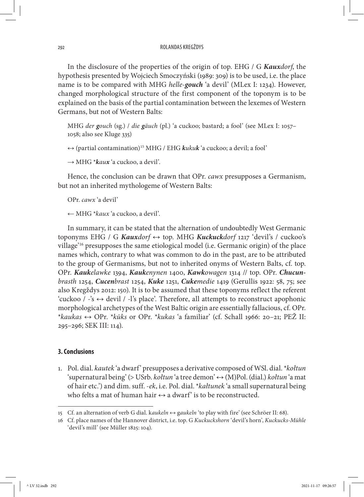In the disclosure of the properties of the origin of top. EHG / G *Kauxdorf*, the hypothesis presented by Wojciech Smoczyński (1989: 309) is to be used, i.e. the place name is to be compared with MHG *helle-gouch* 'a devil' (MLex I: 1234). However, changed morphological structure of the first component of the toponym is to be explained on the basis of the partial contamination between the lexemes of Western Germans, but not of Western Balts:

MHG *der gouch* (sg.) / *die gäuch* (pl.) 'a cuckoo; bastard; a fool' (see MLex I: 1057– 1058; also see Kluge 335)

```
↔ (partial contamination)15 MHG / EHG kukuk 'a cuckoo; a devil; a fool'
```
→ MHG \**kaux* 'a cuckoo, a devil'.

Hence, the conclusion can be drawn that OPr.*cawx* presupposes a Germanism, but not an inherited mythologeme of Western Balts:

OPr.*cawx* 'a devil'

← MHG \**kaux* 'a cuckoo, a devil'.

In summary, it can be stated that the alternation of undoubtedly West Germanic toponyms EHG / G *Kauxdorf* ↔ top. MHG *Kuckuckdorf* 1217 'devil's / cuckoo's village'16 presupposes the same etiological model (i.e. Germanic origin) of the place names which, contrary to what was common to do in the past, are to be attributed to the group of Germanisms, but not to inherited onyms of Western Balts, cf. top. OPr.*Kaukelawke* 1394, *Kaukenynen* 1400, *Kawkowagen* 1314 // top. OPr.*Chucunbrasth* 1254, *Cucenbrast* 1254, *Kuke* 1251, *Cukemedie* 1419 (Gerullis 1922: 58, 75; see also Kregždys 2012: 150). It is to be assumed that these toponyms reflect the referent 'cuckoo / -'s ↔ devil / -l's place'. Therefore, all attempts to reconstruct apophonic morphological archetypes of the West Baltic origin are essentially fallacious, cf. OPr. \**kaukas* ↔ OPr. \**kūks* or OPr. \**kukas* 'a familiar' (cf. Schall 1966: 20–21; PEŽ II: 295–296; SEK III: 114).

## **3. Conclusions**

1.Pol. dial.*kautek* 'a dwarf' presupposes a derivative composed of WSl. dial. \**kołtun* 'supernatural being' (> USrb.*kołtun* 'a tree demon' ↔ (M)Pol. (dial.) *kołtun* 'a mat of hair etc.') and dim. suff. -*ek*, i.e. Pol. dial. \**kałtunek* 'a small supernatural being who felts a mat of human hair  $\leftrightarrow$  a dwarf' is to be reconstructed.

<sup>15</sup> Cf. an alternation of verb G dial. k*aukeln* ↔ g*aukeln* 'to play with fire' (see Schröer II: 68).

<sup>16</sup> Cf. place names of the Hannover district, i.e. top. G *Kuckuckshorn* 'devil's horn', *Kuckucks-Mühle* 'devil's mill' (see Müller 1825: 104).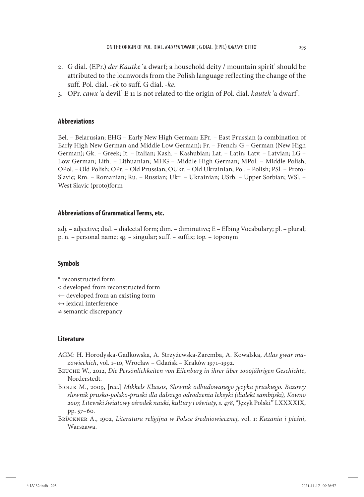- 2.G dial. (EPr.) *der Kautke* 'a dwarf; a household deity / mountain spirit' should be attributed to the loanwords from the Polish language reflecting the change of the suff. Pol. dial. -*ek* to suff. G dial. -*ke*.
- 3.OPr.*cawx* 'a devil' E 11 is not related to the origin of Pol. dial.*kautek* 'a dwarf'.

## **Abbreviations**

Bel. – Belarusian; EHG – Early New High German; EPr. – East Prussian (a combination of Early High New German and Middle Low German); Fr. – French; G – German (New High German); Gk. – Greek; It. – Italian; Kash. – Kashubian; Lat. – Latin; Latv. – Latvian; LG – Low German; Lith. – Lithuanian; MHG – Middle High German; MPol. – Middle Polish; OPol. – Old Polish; OPr. – Old Prussian; OUkr. – Old Ukrainian; Pol. – Polish; PSl. – Proto-Slavic; Rm. – Romanian; Ru. – Russian; Ukr. – Ukrainian; USrb. – Upper Sorbian; WSl. – West Slavic (proto)form

#### **Abbreviations of Grammatical Terms, etc.**

adj. – adjective; dial. – dialectal form; dim. – diminutive; E – Elbing Vocabulary; pl. – plural; p. n. – personal name; sg. – singular; suff. – suffix; top. – toponym

#### **Symbols**

- \* reconstructed form
- < developed from reconstructed form
- ← developed from an existing form
- $\leftrightarrow$  lexical interference
- ≠ semantic discrepancy

### **Literature**

- AGM: H. Horodyska-Gadkowska, A. Strzyżewska-Zaremba, A. Kowalska, *Atlas gwar mazowieckich*, vol. 1–10, Wrocław – Gdańsk – Kraków 1971–1992.
- Beuche W., 2012, *Die Persönlichkeiten von Eilenburg in ihrer über 1000jährigen Geschichte*, Norderstedt.
- Biolik M., 2009, [rec.] *Mikkels Klussis, Słownik odbudowanego języka pruskiego. Bazowy słownik prusko-polsko-pruski dla dalszego odrodzenia leksyki (dialekt sambijski), Kowno 2007, Litewski światowy ośrodek nauki, kultury i oświaty, s. 478*, "Język Polski" LXXXXIX, pp. 57–60.
- Brückner A., 1902, *Literatura religijna w Polsce średniowiecznej*, vol. 1: *Kazania i pieśni*, Warszawa.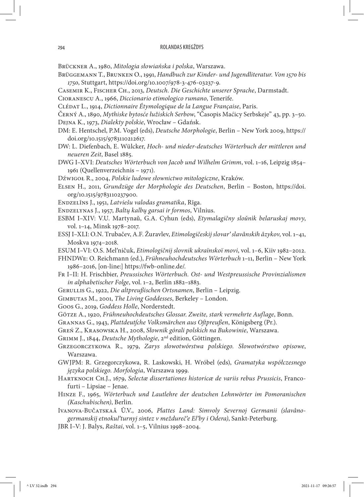Brückner A., 1980, *Mitologia słowiańska i polska*, Warszawa.

- Brüggemann T., Brunken O., 1991, *Handbuch zur Kinder- und Jugendliteratur. Von 1570 bis 1750*, Stuttgart, https://doi.org/10.1007/978-3-476-03237-9.
- Casemir K., Fischer Ch., 2013, *Deutsch. Die Geschichte unserer Sprache*, Darmstadt.
- Cioranescu A., 1966, *Diccionario etimologico rumano*, Tenerife.

Clédat L., 1914, *Dictionnaire Étymologique de la Langue Française*, Paris.

- Černý A., 1890, *Mythiske bytosće łužiskich Serbow*, "Časopis Maćicy Serbskeje" 43, pp. 3–50. Dejna K., 1973, *Dialekty polskie*, Wrocław – Gdańsk.
- DM: E. Hentschel, P.M. Vogel (eds), *Deutsche Morphologie*, Berlin New York 2009, https:// doi.org/10.1515/9783110212617.
- DW: L. Diefenbach, E. Wülcker, *Hoch- und nieder-deutsches Wörterbuch der mittleren und neueren Zeit*, Basel 1885.
- DWG I–XVI: *Deutsches Wörterbuch von Jacob und Wilhelm Grimm*, vol. 1–16, Leipzig 1854– 1961 (Quellenverzeichnis – 1971).
- Dźwigoł R., 2004, *Polskie ludowe słownictwo mitologiczne*, Kraków.
- Elsen H., 2011, *Grundzüge der Morphologie des Deutschen*, Berlin Boston, https://doi. org/10.1515/9783110237900.
- Endzelīns J., 1951, *Latviešu valodas gramatika*, Rīga.
- Endzelynas J., 1957, *Baltų kalbų garsai ir formos*, Vilnius.
- ESBM I–XIV: V.U. Martynaǔ, G.A. Cyhun (eds), *Etymalagičny sloǔnìk belaruskaj movy*, vol. 1–14, Minsk 1978–2017.
- ESSJ I–XLI: O.N. Trubačev, A.F. Žuravlev, *Etimologičeskij slovarʹ slavânskih âzykov*, vol. 1–41, Moskva 1974–2018.
- ESUM I–VI: O.S. Melʹničuk, *Etimologičnij slovnik ukraïnskoï movi*, vol. 1–6, Kiiv 1982–2012.
- FHNDWe: O. Reichmann (ed.), *Frühneuhochdeutsches Wörterbuch* 1–11, Berlin New York 1986–2016, [on-line:] https://fwb-online.de/.
- Fr I–II: H. Frischbier, *Preussisches Wörterbuch. Ost- und Westpreussische Provinzialismen in alphabetischer Folge*, vol. 1–2, Berlin 1882–1883.
- Gerullis G., 1922, *Die altpreußischen Ortsnamen*, Berlin Leipzig.
- Gimbutas M., 2001, *The Living Goddesses*, Berkeley London.
- Goos G., 2019, *Goddess Holle*, Norderstedt.
- Götze A., 1920, *Frühneuhochdeutsches Glossar*.*Zweite, stark vermehrte Auflage*, Bonn.
- Grannas G., 1943, *Plattdeutſche Volksmärchen aus Oſtpreußen*, Königsberg (Pr.).
- Greń Z., Krasowska H., 2008, *Słownik górali polskich na Bukowinie*, Warszawa.
- Grimm J., 1844, *Deutsche Mythologie*, 2nd edition, Göttingen.
- Grzegorczykowa R., 1979, *Zarys słowotwórstwa polskiego. Słowotwórstwo opisowe*, Warszawa.
- GWJPM: R. Grzegorczykowa, R. Laskowski, H. Wróbel (eds), *Gramatyka współczesnego języka polskiego. Morfologia*, Warszawa 1999.
- Hartknoch Ch.J., 1679, *Selectæ dissertationes historicæ de variis rebus Prussicis*, Francofurti – Lipsiae – Jenae.
- Hinze F., 1965, *Wörterbuch und Lautlehre der deutschen Lehnwörter im Pomoranischen (Kaschubischen)*, Berlin.
- Ivanova-Bučatskaâ Û.V., 2006, *Plattes Land: Simvoly Severnoj Germanii (slavânogermanskij etnokulʹturnyj sintez v meždurečʹe Elʹby i Odera)*, Sankt-Peterburg.
- JBR I–V: J. Balys, *Raštai*, vol. 1–5, Vilnius 1998–2004.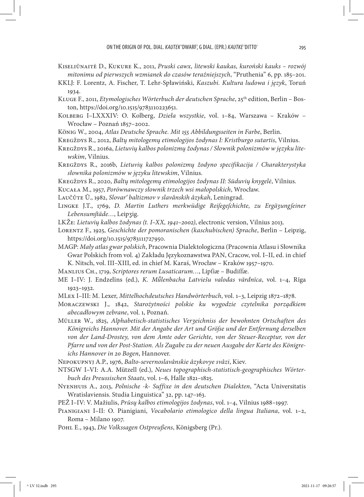- Kiseliūnaitė D., Kukure K., 2011, *Pruski cawx, litewski kaukas, kuroński kauks rozwój mitonimu od pierwszych wzmianek do czasów teraźniejszych*, "Pruthenia" 6, pp. 185–201.
- KKLJ: F. Lorentz, A. Fischer, T. Lehr-Spławiński, *Kaszubi. Kultura ludowa i język*, Toruń 1934.
- KLUGE F., 2011, *Etymologisches Wörterbuch der deutschen Sprache*, 25<sup>th</sup> edition, Berlin Boston, https://doi.org/10.1515/9783110223651.
- Kolberg I–LXXXIV: O. Kolberg, *Dzieła wszystkie*, vol. 1–84, Warszawa Kraków Wrocław – Poznań 1857–2002.
- König W., 2004, *Atlas Deutsche Sprache. Mit 155 Abbildungsseiten in Farbe*, Berlin.
- Kregždys R., 2012, *Baltų mitologemų etimologijos žodynas I: Kristburgo sutartis*, Vilnius.
- Kregždys R., 2016a, *Lietuvių kalbos polonizmų žodynas / Słownik polonizmów w języku litewskim*, Vilnius.
- Kregždys R., 2016b, *Lietuvių kalbos polonizmų žodyno specifikacija / Charakterystyka słownika polonizmów w języku litewskim*, Vilnius.
- Kregždys R., 2020, *Baltų mitologemų etimologijos žodynas II: Sūduvių knygelė*, Vilnius.
- Kucała M., 1957, *Porównawczy słownik trzech wsi małopolskich*, Wrocław.
- Laučûte Û., 1982, *Slovarʹ baltizmov v slavânskih âzykah*, Leningrad.
- Lingke J.T., 1769, *D. Martin Luthers merkwüdige Reiſegeſchichte, zu Ergäʒungſeiner Lebensumſtäde…*, Leipʒig.
- LKŽe: *Lietuvių kalbos žodynas (t. I–XX, 1941–2002)*, electronic version, Vilnius 2013.
- Lorentz F., 1925, *Geschichte der pomoranischen (kaschubischen) Sprache*, Berlin Leipzig, https://doi.org/10.1515/9783111727950.
- MAGP: *Mały atlas gwar polskich*, Pracownia Dialektologiczna (Pracownia Atlasu i Słownika Gwar Polskich from vol. 4) Zakładu Językoznawstwa PAN, Cracow, vol. I–II, ed. in chief K. Nitsch, vol. III–XIII, ed. in chief M. Karaś, Wrocław – Kraków 1957–1970.
- Manlius Ch., 1719, *Scriptores rerum Lusaticarum…*, Lipſiæ Budiſſæ.
- ME I–IV: J. Endzelīns (ed.), *K. Mǖlenbacha Latviešu valodas vārdnīca*, vol. 1–4, Rīga 1923–1932.
- MLex I–III: M. Lexer, *Mittelhochdeutsches Handwörterbuch*, vol. 1–3, Leipzig 1872–1878.
- Moraczewski J., 1842, *Starożytności polskie ku wygodzie czytelnika porządkiem abecadłowym zebrane*, vol. 1, Poznań.
- Müller W., 1825, *Alphabetisch-statistisches Verʒeichniss der bewohnten Ortschaften des Königreichs Hannover. Mit der Angabe der Art und Gröſse und der Entfernung derselben von der Land-Drostey, von dem Amte oder Gerichte, von der Steuer-Receptur, von der Pfarre und von der Post-Station. Als Zugabe zu der neuen Ausgabe der Karte des Königreichs Hannover in 20 Bogen*, Hannover.

Nepokupnyj A.P., 1976, *Balto-severnoslavânskie âzykovye svâzi*, Kiev.

- NTSGW I–VI: A.A. Mützell (ed.), *Neues topographisch-statistisch-geographisches Wörterbuch des Preussischen Staats*, vol. 1–6, Halle 1821–1825.
- Nyenhuis A., 2013, *Polnische -k- Suffixe in den deutschen Dialekten*, "Acta Universitatis Wratislaviensis. Studia Linguistica" 32, pp. 147–163.
- PEŽ I–IV: V. Mažiulis, *Prūsų kalbos etimologijos žodynas*, vol. 1–4, Vilnius 1988–1997.
- Pianigiani I–II: O. Pianigiani, *Vocabolario etimologico della lingua Italiana*, vol. 1–2, Roma – Milano 1907.
- Pohl E., 1943, *Die Volkssagen Ostpreußens*, Königsberg (Pr.).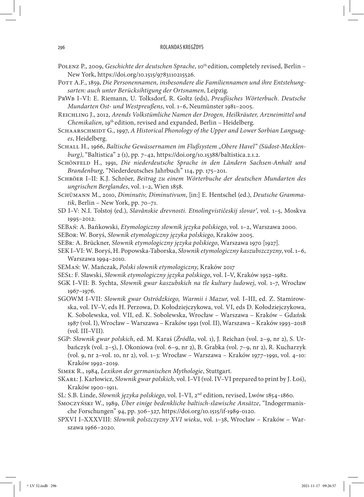- Polenz P., 2009, *Geschichte der deutschen Sprache*, 10th edition, completely revised, Berlin New York, https://doi.org/10.1515/9783110215526.
- POTT A.F., 1859, Die Personennamen, insbesondere die Familiennamen und ihre Entstehung*sarten: auch unter Berücksihtigung der Ortsnamen*, Leipzig.
- PrWb I–VI: E. Riemann, U. Tolksdorf, R. Goltz (eds), *Preußisches Wörterbuch. Deutsche Mundarten Ost- und Westpreußens*, vol. 1–6, Neumünster 1981–2005.

Reichling J., 2012, *Arends Volkstümliche Namen der Drogen, Heilkräuter, Arzneimittel und Chemikalien*, 19th edition, revised and expanded, Berlin – Heidelberg.

- SCHAARSCHMIDT G., 1997, A Historical Phonology of the Upper and Lower Sorbian Languag*es*, Heidelberg.
- Schall H., 1966, *Baltische Gewässernamen im Flußsystem "Obere Havel" (Südost-Mecklenburg)*, "Baltistica" 2 (1), pp. 7–42, https://doi.org/10.15388/baltistica.2.1.2.
- Schönfeld H., 1991, *Die niederdeutsche Sprache in den Ländern Sachsen-Anhalt und Brandenburg*, "Niederdeutsches Jahrbuch" 114, pp. 175–201.
- Schröer I–II: K.J. Schröer, *Beitrag zu einem Wörterbuche der deutschen Mundarten des ungrischen Berglandes*, vol. 1–2, Wien 1858.
- Schümann M., 2010, *Diminutiv, Diminutivum*, [in:] E. Hentschel (ed.), *Deutsche Grammatik*, Berlin – New York, pp. 70–71.
- SD I–V: N.I. Tolstoj (ed.), *Slavânskie drevnosti. Etnolingvističeskij slovarʹ*, vol. 1–5, Moskva 1995–2012.
- SEBań: A. Bańkowski, *Etymologiczny słownik języka polskiego*, vol. 1–2, Warszawa 2000.

SEBor: W. Boryś, *Słownik etymologiczny języka polskiego*, Kraków 2005.

- SEBr: A. Brückner, *Słownik etymologiczny języka polskiego*, Warszawa 1970 [1927].
- SEK I–VI: W. Boryś, H. Popowska-Taborska, *Słownik etymologiczny kaszubszczyzny*, vol. 1–6, Warszawa 1994–2010.
- SEMań: W. Mańczak, *Polski słownik etymologiczny*, Kraków 2017
- SESł: F. Sławski, *Słownik etymologiczny języka polskiego*, vol. I–V, Kraków 1952–1982.
- SGK I–VII: B. Sychta, *Słownik gwar kaszubskich na tle kultury ludowej*, vol. 1–7, Wrocław 1967–1976.
- SGOWM I–VII: *Słownik gwar Ostródzkiego, Warmii i Mazur*, vol. I–III, ed. Z. Stamirowska, vol. IV–V, eds H. Perzowa, D. Kołodziejczykowa, vol. VI, eds D. Kołodziejczykowa, K. Sobolewska, vol. VII, ed. K. Sobolewska, Wrocław – Warszawa – Kraków – Gdańsk 1987 (vol. I), Wrocław – Warszawa – Kraków 1991 (vol. II), Warszawa – Kraków 1993–2018 (vol. III–VII).
- SGP: *Słownik gwar polskich*, ed. M. Karaś (*Źródła*, vol. 1), J. Reichan (vol. 2–9, nr 2), S. Urbańczyk (vol. 2–5), J. Okoniowa (vol. 6–9, nr 2), B. Grabka (vol. 7–9, nr 2), R. Kucharzyk (vol. 9, nr 2–vol. 10, nr 2), vol. 1–3: Wrocław – Warszawa – Kraków 1977–1991, vol. 4–10: Kraków 1992–2019.

Simek R., 1984, *Lexikon der germanischen Mythologie*, Stuttgart.

- SKarł: J. Karłowicz, *Słownik gwar polskich*, vol. I–VI (vol. IV–VI prepared to print by J. Łoś), Kraków 1900–1911.
- SL: S.B. Linde, *Słownik języka polskiego*, vol. I–VI, 2nd edition, revised, Lwów 1854–1860.
- Smoczyński W., 1989, *Über einige bedenkliche baltisch-slawische Ansätze*, "Indogermanische Forschungen" 94, pp. 306–327, https://doi.org/10.1515/if-1989-0120.
- SPXVI I–XXXVIII: *Słownik polszczyzny XVI wieku*, vol. 1–38, Wrocław Kraków Warszawa 1966–2020.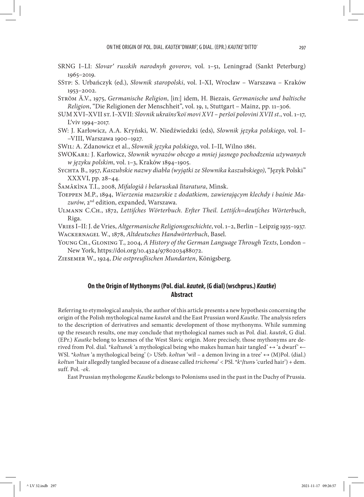- SRNG I–LI: *Slovarʹ russkih narodnyh govorov*, vol. 1–51, Leningrad (Sankt Peterburg) 1965–2019.
- SStp: S. Urbańczyk (ed.), *Słownik staropolski*, vol. I–XI, Wrocław Warszawa Kraków 1953–2002.
- Ström Ä.V., 1975, *Germanische Religion*, [in:] idem, H. Biezais, *Germanische und baltische Religion*, "Die Religionen der Menschheit", vol. 19, 1, Stuttgart – Mainz, pp. 11–306.
- SUM XVI–XVII st. I–XVII: *Slovnik ukraïnsʹkoï movi XVI peršoï polovini XVII st.*, vol. 1–17, L'viv 1994-2017.
- SW: J. Karłowicz, A.A. Kryński, W. Niedźwiedzki (eds), *Słownik języka polskiego*, vol. I– –VIII, Warszawa 1900–1927.
- SWil: A. Zdanowicz et al., *Słownik języka polskiego*, vol. I–II, Wilno 1861.
- SWOKarł: J. Karłowicz, *Słownik wyrazów obcego a mniej jasnego pochodzenia używanych w języku polskim*, vol. 1–3, Kraków 1894–1905.
- Sychta B., 1957, *Kaszubskie nazwy diabła (wyjątki ze Słownika kaszubskiego)*, "Język Polski" XXXVI, pp. 28–44.
- Šamâkìna T.I., 2008, *Mifalogiâ i belaruskaâ lìtaratura*, Mìnsk.

Toeppen M.P., 1894, *Wierzenia mazurskie z dodatkiem, zawierającym klechdy i baśnie Mazurów*, 2nd edition, expanded, Warszawa.

Ulmann C.Ch., 1872, *Lettiſches Wörterbuch. Erſter Theil. Lettiſch=deutſches Wörterbuch*, Riga.

Vries I–II: J. de Vries, *Altgermanische Religionsgeschichte*, vol. 1–2, Berlin – Leipzig 1935–1937.

Wackernagel W., 1878, *Altdeutsches Handwörterbuch*, Basel.

- Young Ch., Gloning T., 2004, *A History of the German Language Through Texts*, London New York, https://doi.org/10.4324/9780203488072.
- Ziesemer W., 1924, *Die ostpreußischen Mundarten*, Königsberg.

# **On the Origin of Mythonyms (Pol. dial.** *kautek***, (G dial) (wschprus.)** *Kautke***) Abstract**

Referring to etymological analysis, the author of this article presents a new hypothesis concerning the origin of the Polish mythological name *kautek* and the East Prussian word *Kautke*. The analysis refers to the description of derivatives and semantic development of those mythonyms. While summing up the research results, one may conclude that mythological names such as Pol. dial.*kautek*, G dial. (EPr.) *Kautke* belong to lexemes of the West Slavic origin. More precisely, those mythonyms are derived from Pol. dial. \**kałtunek* 'a mythological being who makes human hair tangled' ↔ 'a dwarf' ← WSl. \**kołtun* 'a mythological being' (> USrb.*kołtun* 'wił – a demon living in a tree' ↔ (M)Pol. (dial.) *kołtun* 'hair allegedly tangled because of a disease called *trichoma*' < PSl. \**kъ ḷtunъ* 'curled hair') + dem. suff. Pol. -*ek*.

East Prussian mythologeme *Kautke* belongs to Polonisms used in the past in the Duchy of Prussia.